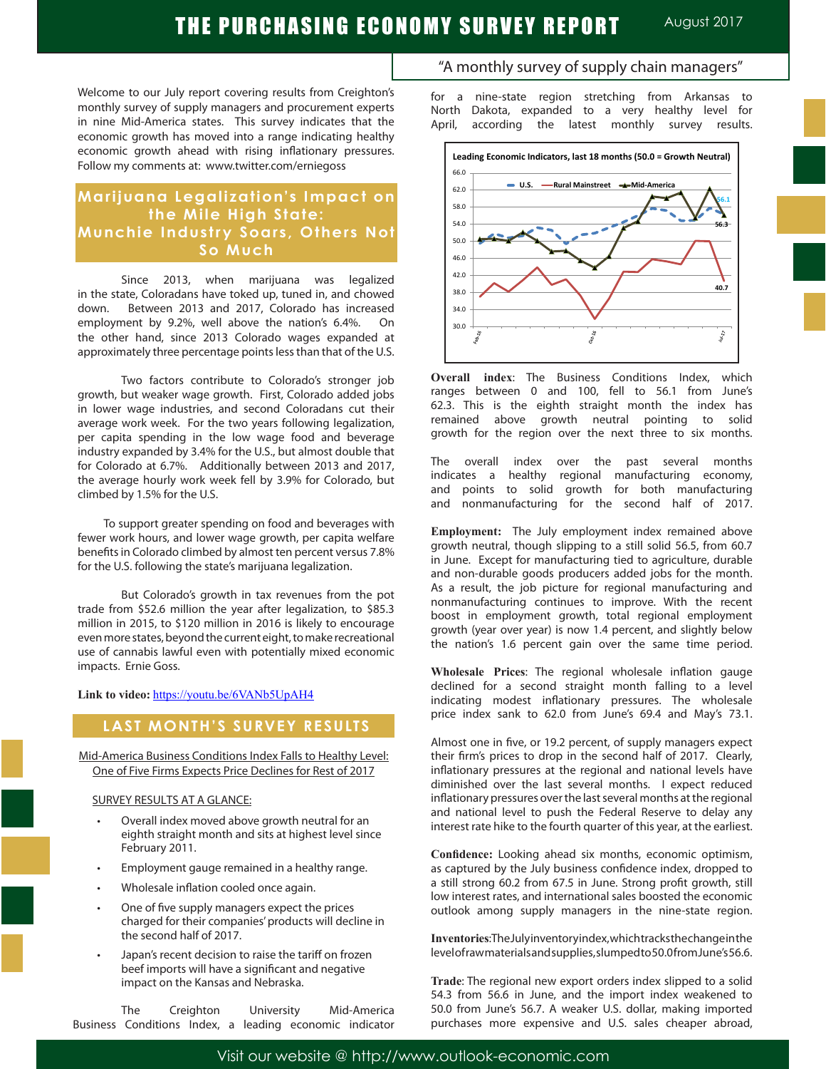# THE PURCHASING ECONOMY SURVEY REPORT AUGUST 2017

Welcome to our July report covering results from Creighton's monthly survey of supply managers and procurement experts in nine Mid-America states. This survey indicates that the economic growth has moved into a range indicating healthy economic growth ahead with rising inflationary pressures. Follow my comments at: www.twitter.com/erniegoss

### **Marijuana Legalization's Impact on the Mile High State: Munchie Industry Soars, Others Not So Much**

Since 2013, when marijuana was legalized in the state, Coloradans have toked up, tuned in, and chowed down. Between 2013 and 2017, Colorado has increased employment by 9.2%, well above the nation's 6.4%. On the other hand, since 2013 Colorado wages expanded at approximately three percentage points less than that of the U.S.

 Two factors contribute to Colorado's stronger job growth, but weaker wage growth. First, Colorado added jobs in lower wage industries, and second Coloradans cut their average work week. For the two years following legalization, per capita spending in the low wage food and beverage industry expanded by 3.4% for the U.S., but almost double that for Colorado at 6.7%. Additionally between 2013 and 2017, the average hourly work week fell by 3.9% for Colorado, but climbed by 1.5% for the U.S.

 To support greater spending on food and beverages with fewer work hours, and lower wage growth, per capita welfare benefits in Colorado climbed by almost ten percent versus 7.8% for the U.S. following the state's marijuana legalization.

 But Colorado's growth in tax revenues from the pot trade from \$52.6 million the year after legalization, to \$85.3 million in 2015, to \$120 million in 2016 is likely to encourage even more states, beyond the current eight, to make recreational use of cannabis lawful even with potentially mixed economic impacts. Ernie Goss.

**Link to video:** https://youtu.be/6VANb5UpAH4

### **LAST MONTH'S SURVEY RESULTS**

Mid-America Business Conditions Index Falls to Healthy Level: One of Five Firms Expects Price Declines for Rest of 2017

#### SURVEY RESULTS AT A GLANCE:

- Overall index moved above growth neutral for an eighth straight month and sits at highest level since February 2011.
- Employment gauge remained in a healthy range.
- Wholesale inflation cooled once again.
- One of five supply managers expect the prices charged for their companies' products will decline in the second half of 2017.
- Japan's recent decision to raise the tariff on frozen beef imports will have a significant and negative impact on the Kansas and Nebraska.

The Creighton University Mid-America Business Conditions Index, a leading economic indicator

### "A monthly survey of supply chain managers"

for a nine-state region stretching from Arkansas to North Dakota, expanded to a very healthy level for April, according the latest monthly survey results.



**Overall index**: The Business Conditions Index, which ranges between 0 and 100, fell to 56.1 from June's 62.3. This is the eighth straight month the index has remained above growth neutral pointing to solid growth for the region over the next three to six months.

The overall index over the past several months indicates a healthy regional manufacturing economy, and points to solid growth for both manufacturing and nonmanufacturing for the second half of 2017.

**Employment:** The July employment index remained above growth neutral, though slipping to a still solid 56.5, from 60.7 in June. Except for manufacturing tied to agriculture, durable and non-durable goods producers added jobs for the month. As a result, the job picture for regional manufacturing and nonmanufacturing continues to improve. With the recent boost in employment growth, total regional employment growth (year over year) is now 1.4 percent, and slightly below the nation's 1.6 percent gain over the same time period.

**Wholesale Prices**: The regional wholesale inflation gauge declined for a second straight month falling to a level indicating modest inflationary pressures. The wholesale price index sank to 62.0 from June's 69.4 and May's 73.1.

Almost one in five, or 19.2 percent, of supply managers expect their firm's prices to drop in the second half of 2017. Clearly, inflationary pressures at the regional and national levels have diminished over the last several months. I expect reduced inflationary pressures over the last several months at the regional and national level to push the Federal Reserve to delay any interest rate hike to the fourth quarter of this year, at the earliest.

**Confidence:** Looking ahead six months, economic optimism, as captured by the July business confidence index, dropped to a still strong 60.2 from 67.5 in June. Strong profit growth, still low interest rates, and international sales boosted the economic outlook among supply managers in the nine-state region.

**Inventories**: The July inventory index, which tracks the change in the level of raw materials and supplies, slumped to 50.0 from June's 56.6.

**Trade**: The regional new export orders index slipped to a solid 54.3 from 56.6 in June, and the import index weakened to 50.0 from June's 56.7. A weaker U.S. dollar, making imported purchases more expensive and U.S. sales cheaper abroad,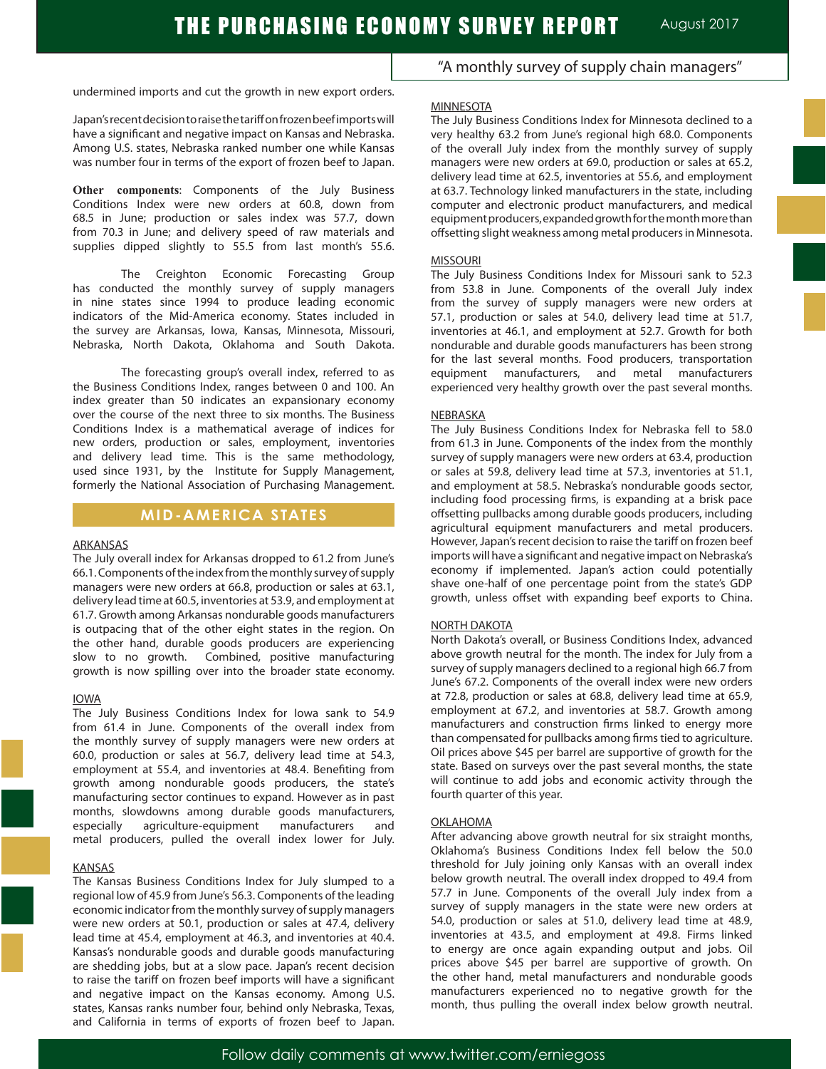undermined imports and cut the growth in new export orders.

Japan'srecentdecisiontoraisethetariffonfrozenbeefimportswill have a significant and negative impact on Kansas and Nebraska. Among U.S. states, Nebraska ranked number one while Kansas was number four in terms of the export of frozen beef to Japan.

**Other components**: Components of the July Business Conditions Index were new orders at 60.8, down from 68.5 in June; production or sales index was 57.7, down from 70.3 in June; and delivery speed of raw materials and supplies dipped slightly to 55.5 from last month's 55.6.

The Creighton Economic Forecasting Group has conducted the monthly survey of supply managers in nine states since 1994 to produce leading economic indicators of the Mid-America economy. States included in the survey are Arkansas, Iowa, Kansas, Minnesota, Missouri, Nebraska, North Dakota, Oklahoma and South Dakota.

The forecasting group's overall index, referred to as the Business Conditions Index, ranges between 0 and 100. An index greater than 50 indicates an expansionary economy over the course of the next three to six months. The Business Conditions Index is a mathematical average of indices for new orders, production or sales, employment, inventories and delivery lead time. This is the same methodology, used since 1931, by the Institute for Supply Management, formerly the National Association of Purchasing Management.

### **MID-AMERICA STATES**

#### ARKANSAS

The July overall index for Arkansas dropped to 61.2 from June's 66.1. Components of the index from the monthly survey of supply managers were new orders at 66.8, production or sales at 63.1, delivery lead time at 60.5, inventories at 53.9, and employment at 61.7. Growth among Arkansas nondurable goods manufacturers is outpacing that of the other eight states in the region. On the other hand, durable goods producers are experiencing slow to no growth. Combined, positive manufacturing growth is now spilling over into the broader state economy.

#### IOWA

The July Business Conditions Index for Iowa sank to 54.9 from 61.4 in June. Components of the overall index from the monthly survey of supply managers were new orders at 60.0, production or sales at 56.7, delivery lead time at 54.3, employment at 55.4, and inventories at 48.4. Benefiting from growth among nondurable goods producers, the state's manufacturing sector continues to expand. However as in past months, slowdowns among durable goods manufacturers, especially agriculture-equipment manufacturers and metal producers, pulled the overall index lower for July.

#### **KANSAS**

The Kansas Business Conditions Index for July slumped to a regional low of 45.9 from June's 56.3. Components of the leading economic indicator from the monthly survey of supply managers were new orders at 50.1, production or sales at 47.4, delivery lead time at 45.4, employment at 46.3, and inventories at 40.4. Kansas's nondurable goods and durable goods manufacturing are shedding jobs, but at a slow pace. Japan's recent decision to raise the tariff on frozen beef imports will have a significant and negative impact on the Kansas economy. Among U.S. states, Kansas ranks number four, behind only Nebraska, Texas, and California in terms of exports of frozen beef to Japan.

"A monthly survey of supply chain managers"

#### MINNESOTA

The July Business Conditions Index for Minnesota declined to a very healthy 63.2 from June's regional high 68.0. Components of the overall July index from the monthly survey of supply managers were new orders at 69.0, production or sales at 65.2, delivery lead time at 62.5, inventories at 55.6, and employment at 63.7. Technology linked manufacturers in the state, including computer and electronic product manufacturers, and medical equipment producers, expanded growth for the month more than offsetting slight weakness among metal producersin Minnesota.

#### MISSOURI

The July Business Conditions Index for Missouri sank to 52.3 from 53.8 in June. Components of the overall July index from the survey of supply managers were new orders at 57.1, production or sales at 54.0, delivery lead time at 51.7, inventories at 46.1, and employment at 52.7. Growth for both nondurable and durable goods manufacturers has been strong for the last several months. Food producers, transportation equipment manufacturers, and metal manufacturers experienced very healthy growth over the past several months.

#### NEBRASKA

The July Business Conditions Index for Nebraska fell to 58.0 from 61.3 in June. Components of the index from the monthly survey of supply managers were new orders at 63.4, production or sales at 59.8, delivery lead time at 57.3, inventories at 51.1, and employment at 58.5. Nebraska's nondurable goods sector, including food processing firms, is expanding at a brisk pace offsetting pullbacks among durable goods producers, including agricultural equipment manufacturers and metal producers. However, Japan's recent decision to raise the tariff on frozen beef imports will have a significant and negative impact on Nebraska's economy if implemented. Japan's action could potentially shave one-half of one percentage point from the state's GDP growth, unless offset with expanding beef exports to China.

#### NORTH DAKOTA

North Dakota's overall, or Business Conditions Index, advanced above growth neutral for the month. The index for July from a survey of supply managers declined to a regional high 66.7 from June's 67.2. Components of the overall index were new orders at 72.8, production or sales at 68.8, delivery lead time at 65.9, employment at 67.2, and inventories at 58.7. Growth among manufacturers and construction firms linked to energy more than compensated for pullbacks among firms tied to agriculture. Oil prices above \$45 per barrel are supportive of growth for the state. Based on surveys over the past several months, the state will continue to add jobs and economic activity through the fourth quarter of this year.

#### OKLAHOMA

After advancing above growth neutral for six straight months, Oklahoma's Business Conditions Index fell below the 50.0 threshold for July joining only Kansas with an overall index below growth neutral. The overall index dropped to 49.4 from 57.7 in June. Components of the overall July index from a survey of supply managers in the state were new orders at 54.0, production or sales at 51.0, delivery lead time at 48.9, inventories at 43.5, and employment at 49.8. Firms linked to energy are once again expanding output and jobs. Oil prices above \$45 per barrel are supportive of growth. On the other hand, metal manufacturers and nondurable goods manufacturers experienced no to negative growth for the month, thus pulling the overall index below growth neutral.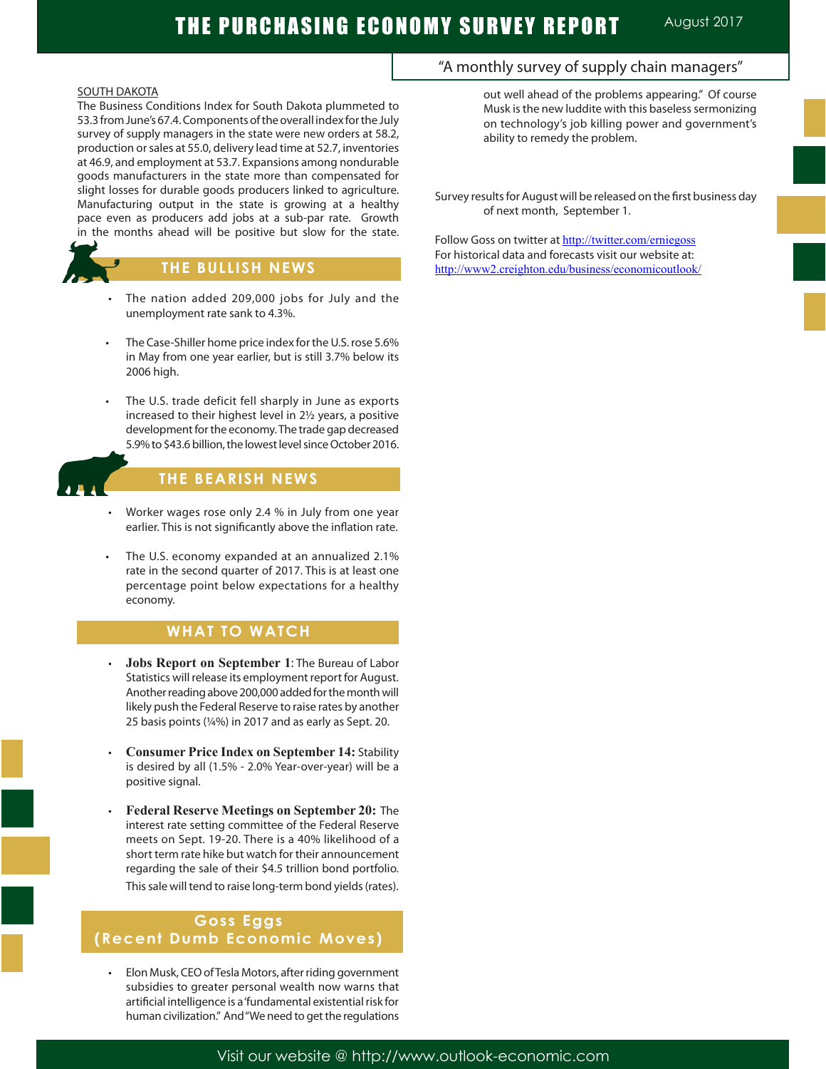### SOUTH DAKOTA

The Business Conditions Index for South Dakota plummeted to 53.3 from June's 67.4. Components of the overall index for the July survey of supply managers in the state were new orders at 58.2, production or sales at 55.0, delivery lead time at 52.7, inventories at 46.9, and employment at 53.7. Expansions among nondurable goods manufacturers in the state more than compensated for slight losses for durable goods producers linked to agriculture. Manufacturing output in the state is growing at a healthy pace even as producers add jobs at a sub-par rate. Growth in the months ahead will be positive but slow for the state.



# **THE BULLISH NEWS**

- The nation added 209,000 jobs for July and the unemployment rate sank to 4.3%.
- The Case-Shiller home price index for the U.S. rose 5.6% in May from one year earlier, but is still 3.7% below its 2006 high.
- The U.S. trade deficit fell sharply in June as exports increased to their highest level in 2½ years, a positive development for the economy. The trade gap decreased 5.9% to \$43.6 billion, the lowest level since October 2016.



Ĩ

# **THE BEARISH NEWS**

- Worker wages rose only 2.4 % in July from one year earlier. This is not significantly above the inflation rate.
- The U.S. economy expanded at an annualized 2.1% rate in the second quarter of 2017. This is at least one percentage point below expectations for a healthy economy.

# **WHAT TO WATCH**

- **Jobs Report on September 1: The Bureau of Labor** Statistics will release its employment report for August. Another reading above 200,000 added for the month will likely push the Federal Reserve to raise rates by another 25 basis points (¼%) in 2017 and as early as Sept. 20.
- **Consumer Price Index on September 14: Stability** is desired by all (1.5% - 2.0% Year-over-year) will be a positive signal.
- **Federal Reserve Meetings on September 20:** The interest rate setting committee of the Federal Reserve meets on Sept. 19-20. There is a 40% likelihood of a short term rate hike but watch for their announcement regarding the sale of their \$4.5 trillion bond portfolio. This sale will tend to raise long-term bond yields (rates).

# **Goss Eggs (Recent Dumb Economic Moves)**

Elon Musk, CEO of Tesla Motors, after riding government subsidies to greater personal wealth now warns that artificial intelligence is a 'fundamental existential risk for human civilization." And "We need to get the regulations

# "A monthly survey of supply chain managers"

out well ahead of the problems appearing." Of course Musk is the new luddite with this baseless sermonizing on technology's job killing power and government's ability to remedy the problem.

Survey results for August will be released on the first business day of next month, September 1.

Follow Goss on twitter at http://twitter.com/erniegoss For historical data and forecasts visit our website at: http://www2.creighton.edu/business/economicoutlook/